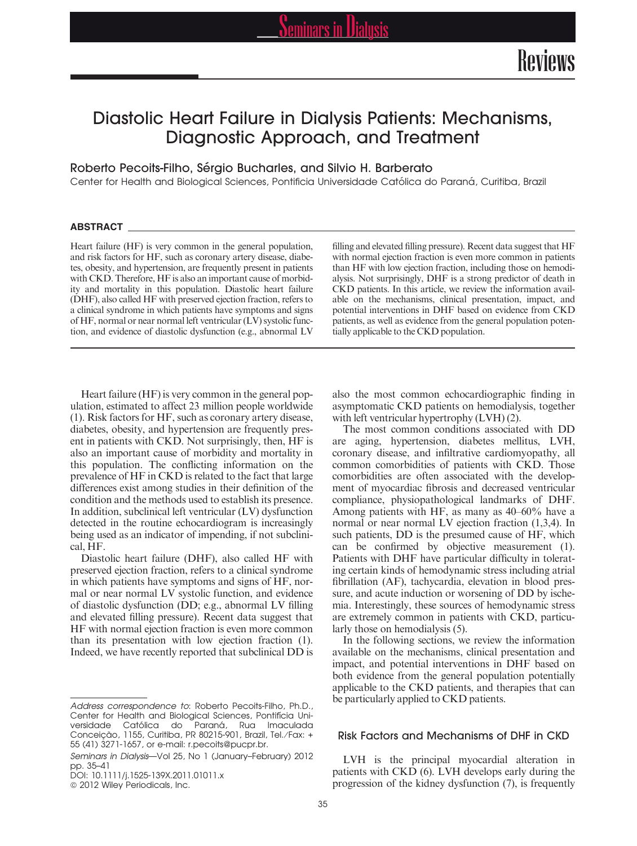# Diastolic Heart Failure in Dialysis Patients: Mechanisms, Diagnostic Approach, and Treatment

Roberto Pecoits-Filho, Sérgio Bucharles, and Silvio H. Barberato

Center for Health and Biological Sciences, Pontificia Universidade Católica do Paraná, Curitiba, Brazil

## ABSTRACT

Heart failure (HF) is very common in the general population, and risk factors for HF, such as coronary artery disease, diabetes, obesity, and hypertension, are frequently present in patients with CKD. Therefore, HF is also an important cause of morbidity and mortality in this population. Diastolic heart failure (DHF), also called HF with preserved ejection fraction, refers to a clinical syndrome in which patients have symptoms and signs of HF, normal or near normal left ventricular (LV) systolic function, and evidence of diastolic dysfunction (e.g., abnormal LV

Heart failure (HF) is very common in the general population, estimated to affect 23 million people worldwide (1). Risk factors for HF, such as coronary artery disease, diabetes, obesity, and hypertension are frequently present in patients with CKD. Not surprisingly, then, HF is also an important cause of morbidity and mortality in this population. The conflicting information on the prevalence of HF in CKD is related to the fact that large differences exist among studies in their definition of the condition and the methods used to establish its presence. In addition, subclinical left ventricular (LV) dysfunction detected in the routine echocardiogram is increasingly being used as an indicator of impending, if not subclinical, HF.

Diastolic heart failure (DHF), also called HF with preserved ejection fraction, refers to a clinical syndrome in which patients have symptoms and signs of HF, normal or near normal LV systolic function, and evidence of diastolic dysfunction (DD; e.g., abnormal LV filling and elevated filling pressure). Recent data suggest that HF with normal ejection fraction is even more common than its presentation with low ejection fraction (1). Indeed, we have recently reported that subclinical DD is

 $@ 2012$  Wiley Periodicals, Inc.

filling and elevated filling pressure). Recent data suggest that HF with normal ejection fraction is even more common in patients than HF with low ejection fraction, including those on hemodialysis. Not surprisingly, DHF is a strong predictor of death in CKD patients. In this article, we review the information available on the mechanisms, clinical presentation, impact, and potential interventions in DHF based on evidence from CKD patients, as well as evidence from the general population potentially applicable to the CKD population.

also the most common echocardiographic finding in asymptomatic CKD patients on hemodialysis, together with left ventricular hypertrophy (LVH) (2).

The most common conditions associated with DD are aging, hypertension, diabetes mellitus, LVH, coronary disease, and infiltrative cardiomyopathy, all common comorbidities of patients with CKD. Those comorbidities are often associated with the development of myocardiac fibrosis and decreased ventricular compliance, physiopathological landmarks of DHF. Among patients with HF, as many as 40–60% have a normal or near normal LV ejection fraction (1,3,4). In such patients, DD is the presumed cause of HF, which can be confirmed by objective measurement (1). Patients with DHF have particular difficulty in tolerating certain kinds of hemodynamic stress including atrial fibrillation (AF), tachycardia, elevation in blood pressure, and acute induction or worsening of DD by ischemia. Interestingly, these sources of hemodynamic stress are extremely common in patients with CKD, particularly those on hemodialysis (5).

In the following sections, we review the information available on the mechanisms, clinical presentation and impact, and potential interventions in DHF based on both evidence from the general population potentially applicable to the CKD patients, and therapies that can be particularly applied to CKD patients.

## Risk Factors and Mechanisms of DHF in CKD

LVH is the principal myocardial alteration in patients with CKD (6). LVH develops early during the progression of the kidney dysfunction (7), is frequently

Address correspondence to: Roberto Pecoits-Filho, Ph.D., Center for Health and Biological Sciences, Pontificia Universidade Católica do Paraná, Rua Imaculada Conceição, 1155, Curitiba, PR 80215-901, Brazil, Tel./Fax: + 55 (41) 3271-1657, or e-mail: r.pecoits@pucpr.br.

Seminars in Dialysis—Vol 25, No 1 (January–February) 2012 pp. 35–41

DOI: 10.1111/j.1525-139X.2011.01011.x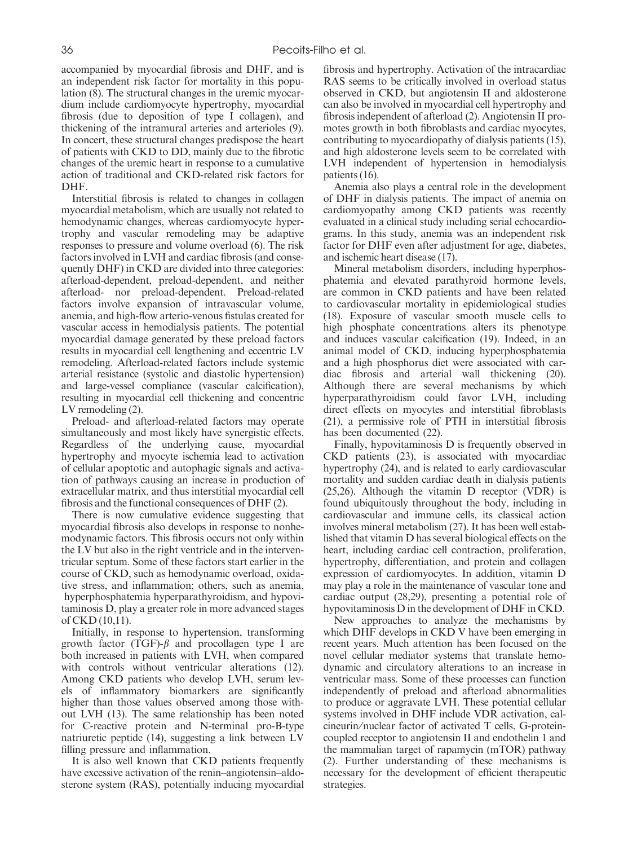accompanied by myocardial fibrosis and DHF, and is an independent risk factor for mortality in this population (8). The structural changes in the uremic myocardium include cardiomyocyte hypertrophy, myocardial fibrosis (due to deposition of type I collagen), and thickening of the intramural arteries and arterioles (9). In concert, these structural changes predispose the heart of patients with CKD to DD, mainly due to the fibrotic changes of the uremic heart in response to a cumulative action of traditional and CKD-related risk factors for DHF.

Interstitial fibrosis is related to changes in collagen myocardial metabolism, which are usually not related to hemodynamic changes, whereas cardiomyocyte hypertrophy and vascular remodeling may be adaptive responses to pressure and volume overload (6). The risk factors involved in LVH and cardiac fibrosis (and consequently DHF) in CKD are divided into three categories: afterload-dependent, preload-dependent, and neither afterload- nor preload-dependent. Preload-related factors involve expansion of intravascular volume, anemia, and high-flow arterio-venous fistulas created for vascular access in hemodialysis patients. The potential myocardial damage generated by these preload factors results in myocardial cell lengthening and eccentric LV remodeling. Afterload-related factors include systemic arterial resistance (systolic and diastolic hypertension) and large-vessel compliance (vascular calcification), resulting in myocardial cell thickening and concentric LV remodeling (2).

Preload- and afterload-related factors may operate simultaneously and most likely have synergistic effects. Regardless of the underlying cause, myocardial hypertrophy and myocyte ischemia lead to activation of cellular apoptotic and autophagic signals and activation of pathways causing an increase in production of extracellular matrix, and thus interstitial myocardial cell fibrosis and the functional consequences of DHF (2).

There is now cumulative evidence suggesting that myocardial fibrosis also develops in response to nonhemodynamic factors. This fibrosis occurs not only within the LV but also in the right ventricle and in the interventricular septum. Some of these factors start earlier in the course of CKD, such as hemodynamic overload, oxidative stress, and inflammation; others, such as anemia, hyperphosphatemia hyperparathyroidism, and hypovitaminosis D, play a greater role in more advanced stages of CKD (10,11).

Initially, in response to hypertension, transforming growth factor (TGF)- $\beta$  and procollagen type I are both increased in patients with LVH, when compared with controls without ventricular alterations (12). Among CKD patients who develop LVH, serum levels of inflammatory biomarkers are significantly higher than those values observed among those without LVH (13). The same relationship has been noted for C-reactive protein and N-terminal pro-B-type natriuretic peptide (14), suggesting a link between LV filling pressure and inflammation.

It is also well known that CKD patients frequently have excessive activation of the renin–angiotensin–aldosterone system (RAS), potentially inducing myocardial fibrosis and hypertrophy. Activation of the intracardiac RAS seems to be critically involved in overload status observed in CKD, but angiotensin II and aldosterone can also be involved in myocardial cell hypertrophy and fibrosis independent of afterload (2). Angiotensin II promotes growth in both fibroblasts and cardiac myocytes, contributing to myocardiopathy of dialysis patients (15), and high aldosterone levels seem to be correlated with LVH independent of hypertension in hemodialysis patients (16).

Anemia also plays a central role in the development of DHF in dialysis patients. The impact of anemia on cardiomyopathy among CKD patients was recently evaluated in a clinical study including serial echocardiograms. In this study, anemia was an independent risk factor for DHF even after adjustment for age, diabetes, and ischemic heart disease (17).

Mineral metabolism disorders, including hyperphosphatemia and elevated parathyroid hormone levels, are common in CKD patients and have been related to cardiovascular mortality in epidemiological studies (18). Exposure of vascular smooth muscle cells to high phosphate concentrations alters its phenotype and induces vascular calcification (19). Indeed, in an animal model of CKD, inducing hyperphosphatemia and a high phosphorus diet were associated with cardiac fibrosis and arterial wall thickening (20). Although there are several mechanisms by which hyperparathyroidism could favor LVH, including direct effects on myocytes and interstitial fibroblasts (21), a permissive role of PTH in interstitial fibrosis has been documented (22).

Finally, hypovitaminosis D is frequently observed in CKD patients (23), is associated with myocardiac hypertrophy (24), and is related to early cardiovascular mortality and sudden cardiac death in dialysis patients (25,26). Although the vitamin D receptor (VDR) is found ubiquitously throughout the body, including in cardiovascular and immune cells, its classical action involves mineral metabolism (27). It has been well established that vitamin D has several biological effects on the heart, including cardiac cell contraction, proliferation, hypertrophy, differentiation, and protein and collagen expression of cardiomyocytes. In addition, vitamin D may play a role in the maintenance of vascular tone and cardiac output (28,29), presenting a potential role of hypovitaminosis D in the development of DHF in CKD.

New approaches to analyze the mechanisms by which DHF develops in CKD V have been emerging in recent years. Much attention has been focused on the novel cellular mediator systems that translate hemodynamic and circulatory alterations to an increase in ventricular mass. Some of these processes can function independently of preload and afterload abnormalities to produce or aggravate LVH. These potential cellular systems involved in DHF include VDR activation, calcineurin⁄nuclear factor of activated T cells, G-proteincoupled receptor to angiotensin II and endothelin 1 and the mammalian target of rapamycin (mTOR) pathway (2). Further understanding of these mechanisms is necessary for the development of efficient therapeutic strategies.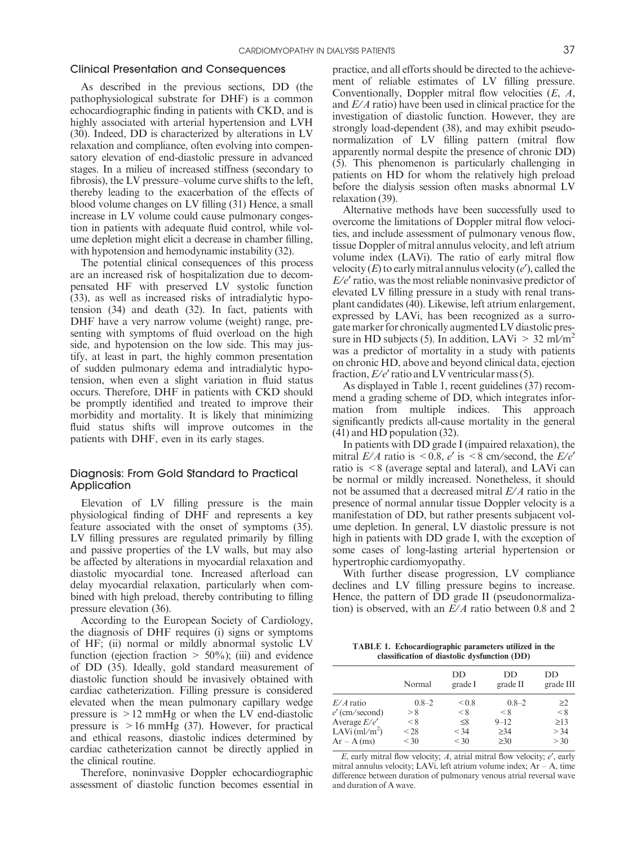### Clinical Presentation and Consequences

As described in the previous sections, DD (the pathophysiological substrate for DHF) is a common echocardiographic finding in patients with CKD, and is highly associated with arterial hypertension and LVH (30). Indeed, DD is characterized by alterations in LV relaxation and compliance, often evolving into compensatory elevation of end-diastolic pressure in advanced stages. In a milieu of increased stiffness (secondary to fibrosis), the LV pressure–volume curve shifts to the left, thereby leading to the exacerbation of the effects of blood volume changes on LV filling (31) Hence, a small increase in LV volume could cause pulmonary congestion in patients with adequate fluid control, while volume depletion might elicit a decrease in chamber filling, with hypotension and hemodynamic instability (32).

The potential clinical consequences of this process are an increased risk of hospitalization due to decompensated HF with preserved LV systolic function (33), as well as increased risks of intradialytic hypotension (34) and death (32). In fact, patients with DHF have a very narrow volume (weight) range, presenting with symptoms of fluid overload on the high side, and hypotension on the low side. This may justify, at least in part, the highly common presentation of sudden pulmonary edema and intradialytic hypotension, when even a slight variation in fluid status occurs. Therefore, DHF in patients with CKD should be promptly identified and treated to improve their morbidity and mortality. It is likely that minimizing fluid status shifts will improve outcomes in the patients with DHF, even in its early stages.

## Diagnosis: From Gold Standard to Practical Application

Elevation of LV filling pressure is the main physiological finding of DHF and represents a key feature associated with the onset of symptoms (35). LV filling pressures are regulated primarily by filling and passive properties of the LV walls, but may also be affected by alterations in myocardial relaxation and diastolic myocardial tone. Increased afterload can delay myocardial relaxation, particularly when combined with high preload, thereby contributing to filling pressure elevation (36).

According to the European Society of Cardiology, the diagnosis of DHF requires (i) signs or symptoms of HF; (ii) normal or mildly abnormal systolic LV function (ejection fraction  $> 50\%$ ); (iii) and evidence of DD (35). Ideally, gold standard measurement of diastolic function should be invasively obtained with cardiac catheterization. Filling pressure is considered elevated when the mean pulmonary capillary wedge pressure is  $>12$  mmHg or when the LV end-diastolic pressure is >16 mmHg (37). However, for practical and ethical reasons, diastolic indices determined by cardiac catheterization cannot be directly applied in the clinical routine.

Therefore, noninvasive Doppler echocardiographic assessment of diastolic function becomes essential in

practice, and all efforts should be directed to the achievement of reliable estimates of LV filling pressure. Conventionally, Doppler mitral flow velocities (E, A, and E⁄A ratio) have been used in clinical practice for the investigation of diastolic function. However, they are strongly load-dependent (38), and may exhibit pseudonormalization of LV filling pattern (mitral flow apparently normal despite the presence of chronic DD) (5). This phenomenon is particularly challenging in patients on HD for whom the relatively high preload before the dialysis session often masks abnormal LV relaxation (39).

Alternative methods have been successfully used to overcome the limitations of Doppler mitral flow velocities, and include assessment of pulmonary venous flow, tissue Doppler of mitral annulus velocity, and left atrium volume index (LAVi). The ratio of early mitral flow velocity  $(E)$  to early mitral annulus velocity  $(e')$ , called the  $E/e^{\prime}$  ratio, was the most reliable noninvasive predictor of elevated LV filling pressure in a study with renal transplant candidates (40). Likewise, left atrium enlargement, expressed by LAVi, has been recognized as a surrogate marker for chronically augmented LV diastolic pressure in HD subjects (5). In addition, LAVi  $> 32$  ml/m<sup>2</sup> was a predictor of mortality in a study with patients on chronic HD, above and beyond clinical data, ejection fraction,  $E/e'$  ratio and LV ventricular mass (5).

As displayed in Table 1, recent guidelines (37) recommend a grading scheme of DD, which integrates information from multiple indices. This approach significantly predicts all-cause mortality in the general (41) and HD population (32).

In patients with DD grade I (impaired relaxation), the mitral  $E/A$  ratio is <0.8, e' is <8 cm/second, the  $E/e'$ ratio is <8 (average septal and lateral), and LAVi can be normal or mildly increased. Nonetheless, it should not be assumed that a decreased mitral E⁄A ratio in the presence of normal annular tissue Doppler velocity is a manifestation of DD, but rather presents subjacent volume depletion. In general, LV diastolic pressure is not high in patients with DD grade I, with the exception of some cases of long-lasting arterial hypertension or hypertrophic cardiomyopathy.

With further disease progression, LV compliance declines and LV filling pressure begins to increase. Hence, the pattern of DD grade II (pseudonormalization) is observed, with an  $E/A$  ratio between 0.8 and 2

TABLE 1. Echocardiographic parameters utilized in the classification of diastolic dysfunction (DD)

|                                                                                      | Normal                                    | DD<br>grade I                                   | DD<br>grade II                                   | DD<br>grade III                              |
|--------------------------------------------------------------------------------------|-------------------------------------------|-------------------------------------------------|--------------------------------------------------|----------------------------------------------|
| $E/A$ ratio<br>$e'$ (cm/second)<br>Average $E/e'$<br>LAVi $(ml/m2)$<br>$Ar - A$ (ms) | $0.8 - 2$<br>> 8<br>< 8<br>< 28<br>$<$ 30 | ${}_{0.8}$<br>< 8<br>$\leq$ 8<br>< 34<br>$<$ 30 | $0.8 - 2$<br>< 8<br>$9 - 12$<br>>34<br>$\geq 30$ | $\geq$ 2<br>< 8<br>$\geq$ 13<br>> 34<br>> 30 |

 $E$ , early mitral flow velocity;  $A$ , atrial mitral flow velocity;  $e'$ , early mitral annulus velocity; LAVi, left atrium volume index;  $Ar - A$ , time difference between duration of pulmonary venous atrial reversal wave and duration of A wave.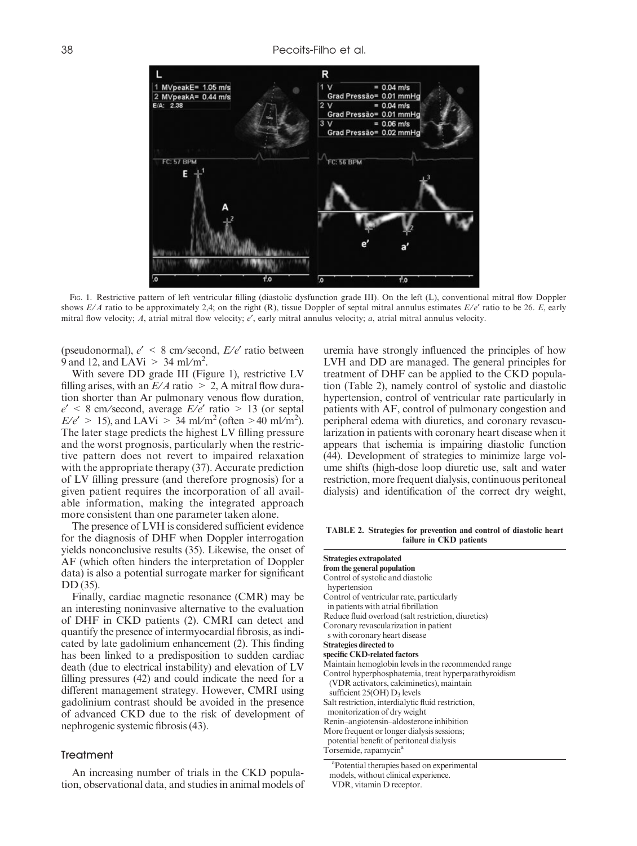

Fig. 1. Restrictive pattern of left ventricular filling (diastolic dysfunction grade III). On the left (L), conventional mitral flow Doppler shows  $E/A$  ratio to be approximately 2,4; on the right (R), tissue Doppler of septal mitral annulus estimates  $E/e'$  ratio to be 26. E, early mitral flow velocity; A, atrial mitral flow velocity;  $e'$ , early mitral annulus velocity;  $a$ , atrial mitral annulus velocity.

(pseudonormal),  $e' < 8$  cm/second,  $E/e'$  ratio between 9 and 12, and  $\angle$ LAVi > 34 ml/m<sup>2</sup>.

With severe DD grade III (Figure 1), restrictive LV filling arises, with an  $E/A$  ratio  $\geq 2$ , A mitral flow duration shorter than Ar pulmonary venous flow duration,  $e' < 8$  cm/second, average  $E/e'$  ratio  $> 13$  (or septal  $E/e' > 15$ ), and LAVi  $> 34 \text{ ml/m}^2$  (often  $> 40 \text{ ml/m}^2$ ). The later stage predicts the highest LV filling pressure and the worst prognosis, particularly when the restrictive pattern does not revert to impaired relaxation with the appropriate therapy (37). Accurate prediction of LV filling pressure (and therefore prognosis) for a given patient requires the incorporation of all available information, making the integrated approach more consistent than one parameter taken alone.

The presence of LVH is considered sufficient evidence for the diagnosis of DHF when Doppler interrogation yields nonconclusive results (35). Likewise, the onset of AF (which often hinders the interpretation of Doppler data) is also a potential surrogate marker for significant DD (35).

Finally, cardiac magnetic resonance (CMR) may be an interesting noninvasive alternative to the evaluation of DHF in CKD patients (2). CMRI can detect and quantify the presence of intermyocardial fibrosis, as indicated by late gadolinium enhancement (2). This finding has been linked to a predisposition to sudden cardiac death (due to electrical instability) and elevation of LV filling pressures (42) and could indicate the need for a different management strategy. However, CMRI using gadolinium contrast should be avoided in the presence of advanced CKD due to the risk of development of nephrogenic systemic fibrosis (43).

#### **Treatment**

An increasing number of trials in the CKD population, observational data, and studies in animal models of uremia have strongly influenced the principles of how LVH and DD are managed. The general principles for treatment of DHF can be applied to the CKD population (Table 2), namely control of systolic and diastolic hypertension, control of ventricular rate particularly in patients with AF, control of pulmonary congestion and peripheral edema with diuretics, and coronary revascularization in patients with coronary heart disease when it appears that ischemia is impairing diastolic function (44). Development of strategies to minimize large volume shifts (high-dose loop diuretic use, salt and water restriction, more frequent dialysis, continuous peritoneal dialysis) and identification of the correct dry weight,

TABLE 2. Strategies for prevention and control of diastolic heart failure in CKD patients

| Strategies extrapolated                                                                                                                                                                                                                                                   |
|---------------------------------------------------------------------------------------------------------------------------------------------------------------------------------------------------------------------------------------------------------------------------|
| from the general population                                                                                                                                                                                                                                               |
| Control of systolic and diastolic<br>hypertension                                                                                                                                                                                                                         |
| Control of ventricular rate, particularly<br>in patients with atrial fibrillation                                                                                                                                                                                         |
| Reduce fluid overload (salt restriction, diuretics)                                                                                                                                                                                                                       |
| Coronary revascularization in patient<br>s with coronary heart disease                                                                                                                                                                                                    |
| <b>Strategies directed to</b>                                                                                                                                                                                                                                             |
| specific CKD-related factors                                                                                                                                                                                                                                              |
| Maintain hemoglobin levels in the recommended range                                                                                                                                                                                                                       |
| Control hyperphosphatemia, treat hyperparathyroidism<br>(VDR activators, calciminetics), maintain<br>sufficient $25(OH) D_3$ levels                                                                                                                                       |
| Salt restriction, interdialytic fluid restriction,<br>monitorization of dry weight                                                                                                                                                                                        |
| Renin-angiotensin-aldosterone inhibition                                                                                                                                                                                                                                  |
| More frequent or longer dialysis sessions;<br>potential benefit of peritoneal dialysis                                                                                                                                                                                    |
| Torsemide, rapamycin <sup>a</sup><br><b>Same and and and a strategic strategic and and all the strategic and all the strategic and all the strategic and all the strategic and all the strategic and all the strategic and all the strategic and all the strategic an</b> |

a Potential therapies based on experimental models, without clinical experience. VDR, vitamin D receptor.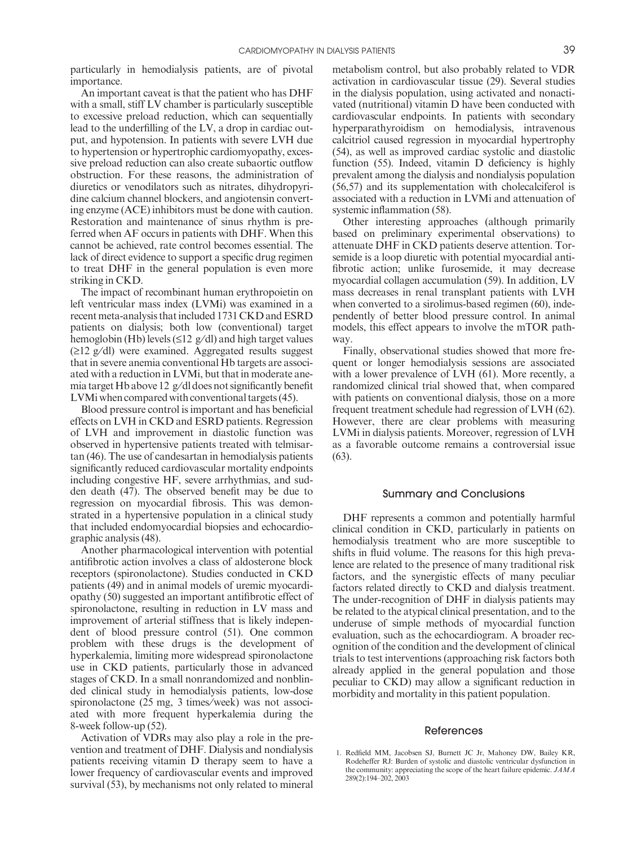particularly in hemodialysis patients, are of pivotal importance.

An important caveat is that the patient who has DHF with a small, stiff LV chamber is particularly susceptible to excessive preload reduction, which can sequentially lead to the underfilling of the LV, a drop in cardiac output, and hypotension. In patients with severe LVH due to hypertension or hypertrophic cardiomyopathy, excessive preload reduction can also create subaortic outflow obstruction. For these reasons, the administration of diuretics or venodilators such as nitrates, dihydropyridine calcium channel blockers, and angiotensin converting enzyme (ACE) inhibitors must be done with caution. Restoration and maintenance of sinus rhythm is preferred when AF occurs in patients with DHF. When this cannot be achieved, rate control becomes essential. The lack of direct evidence to support a specific drug regimen to treat DHF in the general population is even more striking in CKD.

The impact of recombinant human erythropoietin on left ventricular mass index (LVMi) was examined in a recent meta-analysis that included 1731 CKD and ESRD patients on dialysis; both low (conventional) target hemoglobin (Hb) levels ( $\leq$ 12 g/dl) and high target values  $(\geq 12 \text{ g/d})$  were examined. Aggregated results suggest that in severe anemia conventional Hb targets are associated with a reduction in LVMi, but that in moderate anemia target Hb above 12  $g/dl$  does not significantly benefit LVMi when compared with conventional targets (45).

Blood pressure control is important and has beneficial effects on LVH in CKD and ESRD patients. Regression of LVH and improvement in diastolic function was observed in hypertensive patients treated with telmisartan (46). The use of candesartan in hemodialysis patients significantly reduced cardiovascular mortality endpoints including congestive HF, severe arrhythmias, and sudden death (47). The observed benefit may be due to regression on myocardial fibrosis. This was demonstrated in a hypertensive population in a clinical study that included endomyocardial biopsies and echocardiographic analysis (48).

Another pharmacological intervention with potential antifibrotic action involves a class of aldosterone block receptors (spironolactone). Studies conducted in CKD patients (49) and in animal models of uremic myocardiopathy (50) suggested an important antifibrotic effect of spironolactone, resulting in reduction in LV mass and improvement of arterial stiffness that is likely independent of blood pressure control (51). One common problem with these drugs is the development of hyperkalemia, limiting more widespread spironolactone use in CKD patients, particularly those in advanced stages of CKD. In a small nonrandomized and nonblinded clinical study in hemodialysis patients, low-dose spironolactone (25 mg, 3 times⁄week) was not associated with more frequent hyperkalemia during the 8-week follow-up (52).

Activation of VDRs may also play a role in the prevention and treatment of DHF. Dialysis and nondialysis patients receiving vitamin D therapy seem to have a lower frequency of cardiovascular events and improved survival (53), by mechanisms not only related to mineral metabolism control, but also probably related to VDR activation in cardiovascular tissue (29). Several studies in the dialysis population, using activated and nonactivated (nutritional) vitamin D have been conducted with cardiovascular endpoints. In patients with secondary hyperparathyroidism on hemodialysis, intravenous calcitriol caused regression in myocardial hypertrophy (54), as well as improved cardiac systolic and diastolic function (55). Indeed, vitamin D deficiency is highly prevalent among the dialysis and nondialysis population (56,57) and its supplementation with cholecalciferol is associated with a reduction in LVMi and attenuation of systemic inflammation (58).

Other interesting approaches (although primarily based on preliminary experimental observations) to attenuate DHF in CKD patients deserve attention. Torsemide is a loop diuretic with potential myocardial antifibrotic action; unlike furosemide, it may decrease myocardial collagen accumulation (59). In addition, LV mass decreases in renal transplant patients with LVH when converted to a sirolimus-based regimen (60), independently of better blood pressure control. In animal models, this effect appears to involve the mTOR pathway.

Finally, observational studies showed that more frequent or longer hemodialysis sessions are associated with a lower prevalence of LVH (61). More recently, a randomized clinical trial showed that, when compared with patients on conventional dialysis, those on a more frequent treatment schedule had regression of LVH (62). However, there are clear problems with measuring LVMi in dialysis patients. Moreover, regression of LVH as a favorable outcome remains a controversial issue  $(63)$ .

## Summary and Conclusions

DHF represents a common and potentially harmful clinical condition in CKD, particularly in patients on hemodialysis treatment who are more susceptible to shifts in fluid volume. The reasons for this high prevalence are related to the presence of many traditional risk factors, and the synergistic effects of many peculiar factors related directly to CKD and dialysis treatment. The under-recognition of DHF in dialysis patients may be related to the atypical clinical presentation, and to the underuse of simple methods of myocardial function evaluation, such as the echocardiogram. A broader recognition of the condition and the development of clinical trials to test interventions (approaching risk factors both already applied in the general population and those peculiar to CKD) may allow a significant reduction in morbidity and mortality in this patient population.

### References

1. Redfield MM, Jacobsen SJ, Burnett JC Jr, Mahoney DW, Bailey KR, Rodeheffer RJ: Burden of systolic and diastolic ventricular dysfunction in the community: appreciating the scope of the heart failure epidemic. JAMA 289(2):194–202, 2003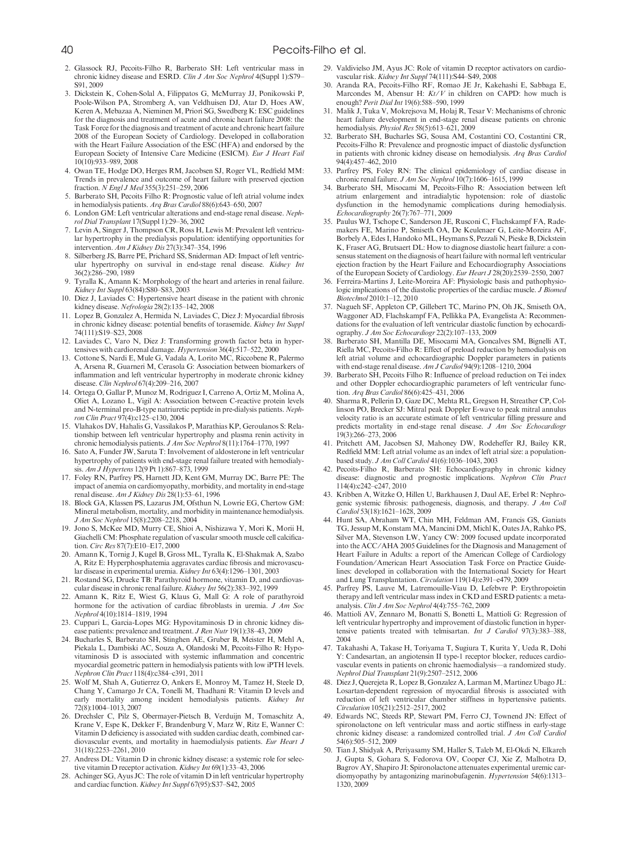- 2. Glassock RJ, Pecoits-Filho R, Barberato SH: Left ventricular mass in chronic kidney disease and ESRD. Clin J Am Soc Nephrol 4(Suppl 1):S79– S91, 2009
- 3. Dickstein K, Cohen-Solal A, Filippatos G, McMurray JJ, Ponikowski P, Poole-Wilson PA, Stromberg A, van Veldhuisen DJ, Atar D, Hoes AW, Keren A, Mebazaa A, Nieminen M, Priori SG, Swedberg K: ESC guidelines for the diagnosis and treatment of acute and chronic heart failure 2008: the Task Force for the diagnosis and treatment of acute and chronic heart failure 2008 of the European Society of Cardiology. Developed in collaboration with the Heart Failure Association of the ESC (HFA) and endorsed by the European Society of Intensive Care Medicine (ESICM). Eur J Heart Fail 10(10):933–989, 2008
- 4. Owan TE, Hodge DO, Herges RM, Jacobsen SJ, Roger VL, Redfield MM: Trends in prevalence and outcome of heart failure with preserved ejection fraction. N Engl J Med 355(3):251–259, 2006
- 5. Barberato SH, Pecoits Filho R: Prognostic value of left atrial volume index in hemodialysis patients. Arq Bras Cardiol 88(6):643–650, 2007
- 6. London GM: Left ventricular alterations and end-stage renal disease. Nephrol Dial Transplant 17(Suppl 1):29–36, 2002
- 7. Levin A, Singer J, Thompson CR, Ross H, Lewis M: Prevalent left ventricular hypertrophy in the predialysis population: identifying opportunities for intervention. Am J Kidney Dis 27(3):347–354, 1996
- 8. Silberberg JS, Barre PE, Prichard SS, Sniderman AD: Impact of left ventricular hypertrophy on survival in end-stage renal disease. Kidney Int 36(2):286–290, 1989
- 9. Tyralla K, Amann K: Morphology of the heart and arteries in renal failure. Kidney Int Suppl 63(84):S80–S83, 2003
- 10. Diez J, Laviades C: Hypertensive heart disease in the patient with chronic kidney disease. Nefrologia 28(2):135–142, 2008
- 11. Lopez B, Gonzalez A, Hermida N, Laviades C, Diez J: Myocardial fibrosis in chronic kidney disease: potential benefits of torasemide. Kidney Int Suppl 74(111):S19–S23, 2008
- 12. Laviades C, Varo N, Diez J: Transforming growth factor beta in hypertensives with cardiorenal damage. Hypertension 36(4):517–522, 2000
- 13. Cottone S, Nardi E, Mule G, Vadala A, Lorito MC, Riccobene R, Palermo A, Arsena R, Guarneri M, Cerasola G: Association between biomarkers of inflammation and left ventricular hypertrophy in moderate chronic kidney disease. Clin Nephrol 67(4):209–216, 2007
- 14. Ortega O, Gallar P, Munoz M, Rodriguez I, Carreno A, Ortiz M, Molina A, Oliet A, Lozano L, Vigil A: Association between C-reactive protein levels and N-terminal pro-B-type natriuretic peptide in pre-dialysis patients. Nephron Clin Pract 97(4):c125–c130, 2004
- 15. Vlahakos DV, Hahalis G, Vassilakos P, Marathias KP, Geroulanos S: Relationship between left ventricular hypertrophy and plasma renin activity in chronic hemodialysis patients.  $JAm\overline{Soc}$  Nephrol 8(11):1764–1770, 1997
- 16. Sato A, Funder JW, Saruta T: Involvement of aldosterone in left ventricular hypertrophy of patients with end-stage renal failure treated with hemodialysis. Am J Hypertens 12(9 Pt 1):867–873, 1999
- 17. Foley RN, Parfrey PS, Harnett JD, Kent GM, Murray DC, Barre PE: The impact of anemia on cardiomyopathy, morbidity, and mortality in end-stage renal disease. Am J Kidney Dis 28(1):53–61, 1996
- 18. Block GA, Klassen PS, Lazarus JM, Ofsthun N, Lowrie EG, Chertow GM: Mineral metabolism, mortality, and morbidity in maintenance hemodialysis. J Am Soc Nephrol 15(8):2208–2218, 2004
- 19. Jono S, McKee MD, Murry CE, Shioi A, Nishizawa Y, Mori K, Morii H, Giachelli CM: Phosphate regulation of vascular smooth muscle cell calcification. Circ Res 87(7):E10–E17, 2000
- 20. Amann K, Tornig J, Kugel B, Gross ML, Tyralla K, El-Shakmak A, Szabo A, Ritz E: Hyperphosphatemia aggravates cardiac fibrosis and microvascular disease in experimental uremia. Kidney Int 63(4):1296–1301, 2003
- 21. Rostand SG, Drueke TB: Parathyroid hormone, vitamin D, and cardiovascular disease in chronic renal failure. Kidney Int 56(2):383–392, 1999
- 22. Amann K, Ritz E, Wiest G, Klaus G, Mall G: A role of parathyroid hormone for the activation of cardiac fibroblasts in uremia. J Am Soc Nephrol 4(10):1814–1819, 1994
- 23. Cuppari L, Garcia-Lopes MG: Hypovitaminosis D in chronic kidney disease patients: prevalence and treatment. J Ren Nutr 19(1):38-43, 2009
- 24. Bucharles S, Barberato SH, Stinghen AE, Gruber B, Meister H, Mehl A, Piekala L, Dambiski AC, Souza A, Olandoski M, Pecoits-Filho R: Hypovitaminosis D is associated with systemic inflammation and concentric myocardial geometric pattern in hemodialysis patients with low iPTH levels. Nephron Clin Pract 118(4):c384–c391, 2011
- 25. Wolf M, Shah A, Gutierrez O, Ankers E, Monroy M, Tamez H, Steele D, Chang Y, Camargo Jr CA, Tonelli M, Thadhani R: Vitamin D levels and early mortality among incident hemodialysis patients. Kidney Int 72(8):1004–1013, 2007
- 26. Drechsler C, Pilz S, Obermayer-Pietsch B, Verduijn M, Tomaschitz A, Krane V, Espe K, Dekker F, Brandenburg V, Marz W, Ritz E, Wanner C: Vitamin D deficiency is associated with sudden cardiac death, combined cardiovascular events, and mortality in haemodialysis patients. Eur Heart J 31(18):2253–2261, 2010
- 27. Andress DL: Vitamin D in chronic kidney disease: a systemic role for selective vitamin D receptor activation. Kidney Int 69(1):33–43, 2006
- 28. Achinger SG, Ayus JC: The role of vitamin D in left ventricular hypertrophy and cardiac function. Kidney Int Suppl 67(95):S37–S42, 2005
- 29. Valdivielso JM, Ayus JC: Role of vitamin D receptor activators on cardiovascular risk. Kidney Int Suppl 74(111):S44–S49, 2008
- 30. Aranda RA, Pecoits-Filho RF, Romao JE Jr, Kakehashi E, Sabbaga E, Marcondes M, Abensur H:  $Kt/V$  in children on CAPD: how much is enough? Perit Dial Int 19(6):588–590, 1999
- 31. Malik J, Tuka V, Mokrejsova M, Holaj R, Tesar V: Mechanisms of chronic heart failure development in end-stage renal disease patients on chronic hemodialysis. Physiol Res 58(5):613–621, 2009
- 32. Barberato SH, Bucharles SG, Sousa AM, Costantini CO, Costantini CR, Pecoits-Filho R: Prevalence and prognostic impact of diastolic dysfunction in patients with chronic kidney disease on hemodialysis. Arq Bras Cardiol 94(4):457–462, 2010
- 33. Parfrey PS, Foley RN: The clinical epidemiology of cardiac disease in chronic renal failure. J Am Soc Nephrol 10(7):1606-1615, 1999
- 34. Barberato SH, Misocami M, Pecoits-Filho R: Association between left atrium enlargement and intradialytic hypotension: role of diastolic dysfunction in the hemodynamic complications during hemodialysis. Echocardiography 26(7):767–771, 2009
- 35. Paulus WJ, Tschope C, Sanderson JE, Rusconi C, Flachskampf FA, Rademakers FE, Marino P, Smiseth OA, De Keulenaer G, Leite-Moreira AF, Borbely A, Edes I, Handoko ML, Heymans S, Pezzali N, Pieske B, Dickstein K, Fraser AG, Brutsaert DL: How to diagnose diastolic heart failure: a consensus statement on the diagnosis of heart failure with normal left ventricular ejection fraction by the Heart Failure and Echocardiography Associations of the European Society of Cardiology. Eur Heart J 28(20):2539–2550, 2007
- 36. Ferreira-Martins J, Leite-Moreira AF: Physiologic basis and pathophysiologic implications of the diastolic properties of the cardiac muscle. J Biomed Biotechnol 2010:1–12, 2010
- 37. Nagueh SF, Appleton CP, Gillebert TC, Marino PN, Oh JK, Smiseth OA, Waggoner AD, Flachskampf FA, Pellikka PA, Evangelista A: Recommendations for the evaluation of left ventricular diastolic function by echocardiography. J Am Soc Echocardiogr 22(2):107–133, 2009
- 38. Barberato SH, Mantilla DE, Misocami MA, Goncalves SM, Bignelli AT, Riella MC, Pecoits-Filho R: Effect of preload reduction by hemodialysis on left atrial volume and echocardiographic Doppler parameters in patients with end-stage renal disease. Am J Cardiol 94(9):1208-1210, 2004
- 39. Barberato SH, Pecoits Filho R: Influence of preload reduction on Tei index and other Doppler echocardiographic parameters of left ventricular function. Arq Bras Cardiol 86(6):425–431, 2006
- 40. Sharma R, Pellerin D, Gaze DC, Mehta RL, Gregson H, Streather CP, Collinson PO, Brecker SJ: Mitral peak Doppler E-wave to peak mitral annulus velocity ratio is an accurate estimate of left ventricular filling pressure and predicts mortality in end-stage renal disease. J Am Soc Echocardiogr 19(3):266–273, 2006
- 41. Pritchett AM, Jacobsen SJ, Mahoney DW, Rodeheffer RJ, Bailey KR, Redfield MM: Left atrial volume as an index of left atrial size: a populationbased study. J Am Coll Cardiol 41(6):1036–1043, 2003
- 42. Pecoits-Filho R, Barberato SH: Echocardiography in chronic kidney disease: diagnostic and prognostic implications. Nephron Clin Pract 114(4):c242–c247, 2010
- 43. Kribben A, Witzke O, Hillen U, Barkhausen J, Daul AE, Erbel R: Nephrogenic systemic fibrosis: pathogenesis, diagnosis, and therapy. J Am Coll Cardiol 53(18):1621–1628, 2009
- 44. Hunt SA, Abraham WT, Chin MH, Feldman AM, Francis GS, Ganiats TG, Jessup M, Konstam MA, Mancini DM, Michl K, Oates JA, Rahko PS, Silver MA, Stevenson LW, Yancy CW: 2009 focused update incorporated into the ACC ⁄ AHA 2005 Guidelines for the Diagnosis and Management of Heart Failure in Adults: a report of the American College of Cardiology Foundation ⁄ American Heart Association Task Force on Practice Guidelines: developed in collaboration with the International Society for Heart and Lung Transplantation. Circulation 119(14):e391–e479, 2009
- 45. Parfrey PS, Lauve M, Latremouille-Viau D, Lefebvre P: Erythropoietin therapy and left ventricular mass index in CKD and ESRD patients: a metaanalysis. Clin J Am Soc Nephrol 4(4):755–762, 2009
- 46. Mattioli AV, Zennaro M, Bonatti S, Bonetti L, Mattioli G: Regression of left ventricular hypertrophy and improvement of diastolic function in hypertensive patients treated with telmisartan. Int J Cardiol 97(3):383–388, 2004
- 47. Takahashi A, Takase H, Toriyama T, Sugiura T, Kurita Y, Ueda R, Dohi Y: Candesartan, an angiotensin II type-1 receptor blocker, reduces cardiovascular events in patients on chronic haemodialysis—a randomized study. Nephrol Dial Transplant 21(9):2507–2512, 2006
- 48. Diez J, Querejeta R, Lopez B, Gonzalez A, Larman M, Martinez Ubago JL: Losartan-dependent regression of myocardial fibrosis is associated with reduction of left ventricular chamber stiffness in hypertensive patients. Circulation 105(21):2512–2517, 2002
- 49. Edwards NC, Steeds RP, Stewart PM, Ferro CJ, Townend JN: Effect of spironolactone on left ventricular mass and aortic stiffness in early-stage chronic kidney disease: a randomized controlled trial. J Am Coll Cardiol 54(6):505–512, 2009
- 50. Tian J, Shidyak A, Periyasamy SM, Haller S, Taleb M, El-Okdi N, Elkareh J, Gupta S, Gohara S, Fedorova OV, Cooper CJ, Xie Z, Malhotra D, Bagrov AY, Shapiro JI: Spironolactone attenuates experimental uremic cardiomyopathy by antagonizing marinobufagenin. Hypertension 54(6):1313– 1320, 2009